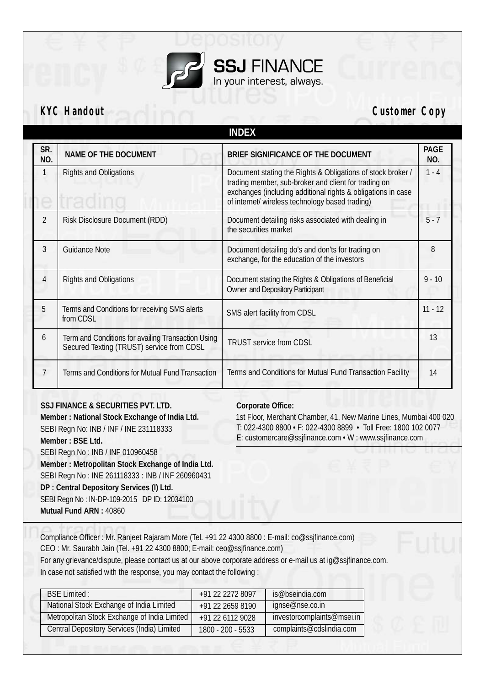

**KYC Handout Customer Copy** 

|                |                                                                                                 | <b>INDEX</b>                                                                                                                                                                                                                           |             |
|----------------|-------------------------------------------------------------------------------------------------|----------------------------------------------------------------------------------------------------------------------------------------------------------------------------------------------------------------------------------------|-------------|
| SR.<br>NO.     | NAME OF THE DOCUMENT                                                                            | BRIEF SIGNIFICANCE OF THE DOCUMENT                                                                                                                                                                                                     | PAGE<br>NO. |
| 1              | <b>Rights and Obligations</b>                                                                   | Document stating the Rights & Obligations of stock broker /<br>trading member, sub-broker and client for trading on<br>exchanges (including additional rights & obligations in case<br>of internet/ wireless technology based trading) | $1 - 4$     |
| $\overline{2}$ | Risk Disclosure Document (RDD)                                                                  | Document detailing risks associated with dealing in<br>the securities market                                                                                                                                                           | $5 - 7$     |
| $\overline{3}$ | <b>Guidance Note</b>                                                                            | Document detailing do's and don'ts for trading on<br>exchange, for the education of the investors                                                                                                                                      | 8           |
| $\overline{4}$ | <b>Rights and Obligations</b>                                                                   | Document stating the Rights & Obligations of Beneficial<br><b>Owner and Depository Participant</b>                                                                                                                                     | $9 - 10$    |
| 5              | Terms and Conditions for receiving SMS alerts<br>from CDSL                                      | SMS alert facility from CDSL                                                                                                                                                                                                           | $11 - 12$   |
| 6              | Term and Conditions for availing Transaction Using<br>Secured Texting (TRUST) service from CDSL | <b>TRUST service from CDSL</b>                                                                                                                                                                                                         | 13          |
| 7              | Terms and Conditions for Mutual Fund Transaction                                                | Terms and Conditions for Mutual Fund Transaction Facility                                                                                                                                                                              | 14          |

### **SSJ FINANCE & SECURITIES PVT. LTD.**

**Corporate Office:**

**Member : National Stock Exchange of India Ltd.** SEBI Regn No: INB / INF / INE 231118333 **Member : BSE Ltd.** SEBI Regn No : INB / INF 010960458 **Member : Metropolitan Stock Exchange of India Ltd.** SEBI Regn No : INE 261118333 : INB / INF 260960431 **DP : Central Depository Services (I) Ltd.** SEBI Regn No : IN-DP-109-2015 DP ID: 12034100 **Mutual Fund ARN :** 40860

1st Floor, Merchant Chamber, 41, New Marine Lines, Mumbai 400 020 T: 022-4300 8800 • F: 022-4300 8899 • Toll Free: 1800 102 0077 E: customercare@ssjfinance.com • W : www.ssjfinance.com

Compliance Officer : Mr. Ranjeet Rajaram More (Tel. +91 22 4300 8800 : E-mail: co@ssjfinance.com) CEO : Mr. Saurabh Jain (Tel. +91 22 4300 8800; E-mail: ceo@ssjfinance.com)

For any grievance/dispute, please contact us at our above corporate address or e-mail us at ig@ssjfinance.com. In case not satisfied with the response, you may contact the following :

| <b>BSE Limited:</b>                                | +91 22 2272 8097  | is@bseindia.com            |  |
|----------------------------------------------------|-------------------|----------------------------|--|
| National Stock Exchange of India Limited           | +91 22 2659 8190  | ignse@nse.co.in            |  |
| Metropolitan Stock Exchange of India Limited       | +91 22 6112 9028  | investorcomplaints@msei.in |  |
| <b>Central Depository Services (India) Limited</b> | 1800 - 200 - 5533 | complaints@cdslindia.com   |  |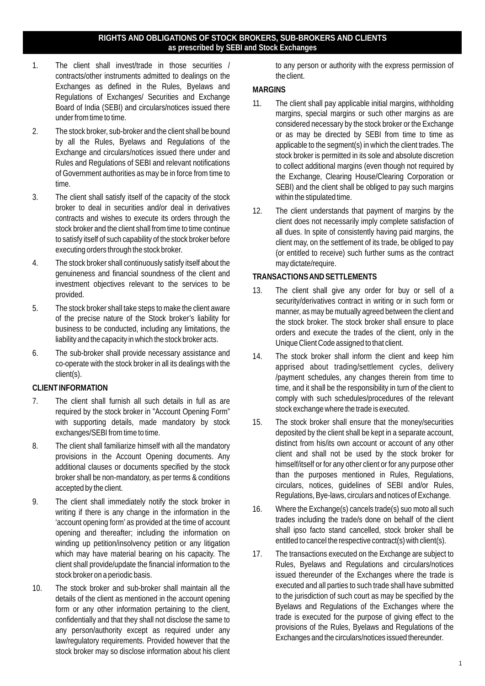#### **RIGHTS AND OBLIGATIONS OF STOCK BROKERS, SUB-BROKERS AND CLIENTS as prescribed by SEBI and Stock Exchanges**

- 1. The client shall invest/trade in those securities / contracts/other instruments admitted to dealings on the Exchanges as defined in the Rules, Byelaws and Regulations of Exchanges/ Securities and Exchange Board of India (SEBI) and circulars/notices issued there under from time to time.
- 2. The stock broker, sub-broker and the client shall be bound by all the Rules, Byelaws and Regulations of the Exchange and circulars/notices issued there under and Rules and Regulations of SEBI and relevant notifications of Government authorities as may be in force from time to time.
- 3. The client shall satisfy itself of the capacity of the stock broker to deal in securities and/or deal in derivatives contracts and wishes to execute its orders through the stock broker and the client shall from time to time continue to satisfy itself of such capability of the stock broker before executing orders through the stock broker.
- 4. The stock broker shall continuously satisfy itself about the genuineness and financial soundness of the client and investment objectives relevant to the services to be provided.
- 5. The stock broker shall take steps to make the client aware of the precise nature of the Stock broker's liability for business to be conducted, including any limitations, the liability and the capacity in which the stock broker acts.
- 6. The sub-broker shall provide necessary assistance and co-operate with the stock broker in all its dealings with the client(s).

## **CLIENT INFORMATION**

- 7. The client shall furnish all such details in full as are required by the stock broker in "Account Opening Form" with supporting details, made mandatory by stock exchanges/SEBI from time to time.
- 8. The client shall familiarize himself with all the mandatory provisions in the Account Opening documents. Any additional clauses or documents specified by the stock broker shall be non-mandatory, as per terms & conditions accepted by the client.
- 9. The client shall immediately notify the stock broker in writing if there is any change in the information in the 'account opening form' as provided at the time of account opening and thereafter; including the information on winding up petition/insolvency petition or any litigation which may have material bearing on his capacity. The client shall provide/update the financial information to the stock broker on a periodic basis.
- 10. The stock broker and sub-broker shall maintain all the details of the client as mentioned in the account opening form or any other information pertaining to the client, confidentially and that they shall not disclose the same to any person/authority except as required under any law/regulatory requirements. Provided however that the stock broker may so disclose information about his client

to any person or authority with the express permission of the client.

### **MARGINS**

- 11. The client shall pay applicable initial margins, withholding margins, special margins or such other margins as are considered necessary by the stock broker or the Exchange or as may be directed by SEBI from time to time as applicable to the segment(s) in which the client trades. The stock broker is permitted in its sole and absolute discretion to collect additional margins (even though not required by the Exchange, Clearing House/Clearing Corporation or SEBI) and the client shall be obliged to pay such margins within the stipulated time.
- 12. The client understands that payment of margins by the client does not necessarily imply complete satisfaction of all dues. In spite of consistently having paid margins, the client may, on the settlement of its trade, be obliged to pay (or entitled to receive) such further sums as the contract may dictate/require.

## **TRANSACTIONS AND SETTLEMENTS**

- 13. The client shall give any order for buy or sell of a security/derivatives contract in writing or in such form or manner, as may be mutually agreed between the client and the stock broker. The stock broker shall ensure to place orders and execute the trades of the client, only in the Unique Client Code assigned to that client.
- 14. The stock broker shall inform the client and keep him apprised about trading/settlement cycles, delivery /payment schedules, any changes therein from time to time, and it shall be the responsibility in turn of the client to comply with such schedules/procedures of the relevant stock exchange where the trade is executed.
- 15. The stock broker shall ensure that the money/securities deposited by the client shall be kept in a separate account, distinct from his/its own account or account of any other client and shall not be used by the stock broker for himself/itself or for any other client or for any purpose other than the purposes mentioned in Rules, Regulations, circulars, notices, guidelines of SEBI and/or Rules, Regulations, Bye-laws, circulars and notices of Exchange.
- 16. Where the Exchange(s) cancels trade(s) suo moto all such trades including the trade/s done on behalf of the client shall ipso facto stand cancelled, stock broker shall be entitled to cancel the respective contract(s) with client(s).
- 17. The transactions executed on the Exchange are subject to Rules, Byelaws and Regulations and circulars/notices issued thereunder of the Exchanges where the trade is executed and all parties to such trade shall have submitted to the jurisdiction of such court as may be specified by the Byelaws and Regulations of the Exchanges where the trade is executed for the purpose of giving effect to the provisions of the Rules, Byelaws and Regulations of the Exchanges and the circulars/notices issued thereunder.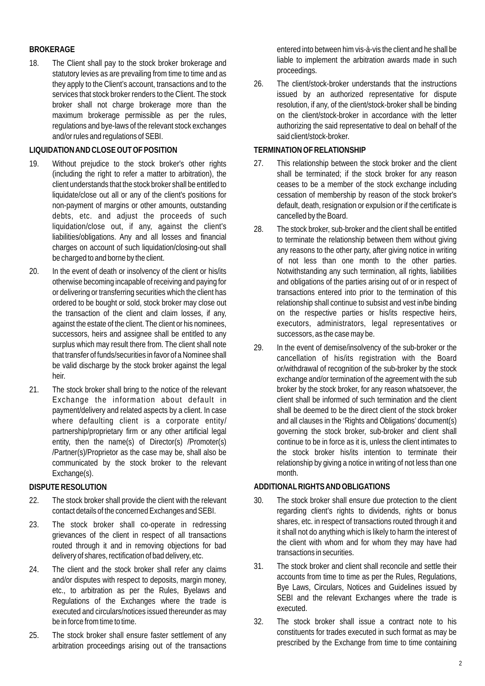# **BROKERAGE**

18. The Client shall pay to the stock broker brokerage and statutory levies as are prevailing from time to time and as they apply to the Client's account, transactions and to the services that stock broker renders to the Client. The stock broker shall not charge brokerage more than the maximum brokerage permissible as per the rules, regulations and bye-laws of the relevant stock exchanges and/or rules and regulations of SEBI.

#### **LIQUIDATION AND CLOSE OUT OF POSITION**

- 19. Without prejudice to the stock broker's other rights (including the right to refer a matter to arbitration), the client understands that the stock broker shall be entitled to liquidate/close out all or any of the client's positions for non-payment of margins or other amounts, outstanding debts, etc. and adjust the proceeds of such liquidation/close out, if any, against the client's liabilities/obligations. Any and all losses and financial charges on account of such liquidation/closing-out shall be charged to and borne by the client.
- 20. In the event of death or insolvency of the client or his/its otherwise becoming incapable of receiving and paying for or delivering or transferring securities which the client has ordered to be bought or sold, stock broker may close out the transaction of the client and claim losses, if any, against the estate of the client. The client or his nominees, successors, heirs and assignee shall be entitled to any surplus which may result there from. The client shall note that transfer of funds/securities in favor of a Nominee shall be valid discharge by the stock broker against the legal heir.
- 21. The stock broker shall bring to the notice of the relevant Exchange the information about default in payment/delivery and related aspects by a client. In case where defaulting client is a corporate entity/ partnership/proprietary firm or any other artificial legal entity, then the name(s) of Director(s) /Promoter(s) /Partner(s)/Proprietor as the case may be, shall also be communicated by the stock broker to the relevant Exchange(s).

# **DISPUTE RESOLUTION**

- 22. The stock broker shall provide the client with the relevant contact details of the concerned Exchanges and SEBI.
- 23. The stock broker shall co-operate in redressing grievances of the client in respect of all transactions routed through it and in removing objections for bad delivery of shares, rectification of bad delivery, etc.
- 24. The client and the stock broker shall refer any claims and/or disputes with respect to deposits, margin money, etc., to arbitration as per the Rules, Byelaws and Regulations of the Exchanges where the trade is executed and circulars/notices issued thereunder as may be in force from time to time.
- 25. The stock broker shall ensure faster settlement of any arbitration proceedings arising out of the transactions

entered into between him vis-à-vis the client and he shall be liable to implement the arbitration awards made in such proceedings.

26. The client/stock-broker understands that the instructions issued by an authorized representative for dispute resolution, if any, of the client/stock-broker shall be binding on the client/stock-broker in accordance with the letter authorizing the said representative to deal on behalf of the said client/stock-broker.

#### **TERMINATION OF RELATIONSHIP**

- 27. This relationship between the stock broker and the client shall be terminated; if the stock broker for any reason ceases to be a member of the stock exchange including cessation of membership by reason of the stock broker's default, death, resignation or expulsion or if the certificate is cancelled by the Board.
- 28. The stock broker, sub-broker and the client shall be entitled to terminate the relationship between them without giving any reasons to the other party, after giving notice in writing of not less than one month to the other parties. Notwithstanding any such termination, all rights, liabilities and obligations of the parties arising out of or in respect of transactions entered into prior to the termination of this relationship shall continue to subsist and vest in/be binding on the respective parties or his/its respective heirs, executors, administrators, legal representatives or successors, as the case may be.
- 29. In the event of demise/insolvency of the sub-broker or the cancellation of his/its registration with the Board or/withdrawal of recognition of the sub-broker by the stock exchange and/or termination of the agreement with the sub broker by the stock broker, for any reason whatsoever, the client shall be informed of such termination and the client shall be deemed to be the direct client of the stock broker and all clauses in the 'Rights and Obligations' document(s) governing the stock broker, sub-broker and client shall continue to be in force as it is, unless the client intimates to the stock broker his/its intention to terminate their relationship by giving a notice in writing of not less than one month.

## **ADDITIONALRIGHTS AND OBLIGATIONS**

- 30. The stock broker shall ensure due protection to the client regarding client's rights to dividends, rights or bonus shares, etc. in respect of transactions routed through it and it shall not do anything which is likely to harm the interest of the client with whom and for whom they may have had transactions in securities.
- 31. The stock broker and client shall reconcile and settle their accounts from time to time as per the Rules, Regulations, Bye Laws, Circulars, Notices and Guidelines issued by SEBI and the relevant Exchanges where the trade is executed.
- 32. The stock broker shall issue a contract note to his constituents for trades executed in such format as may be prescribed by the Exchange from time to time containing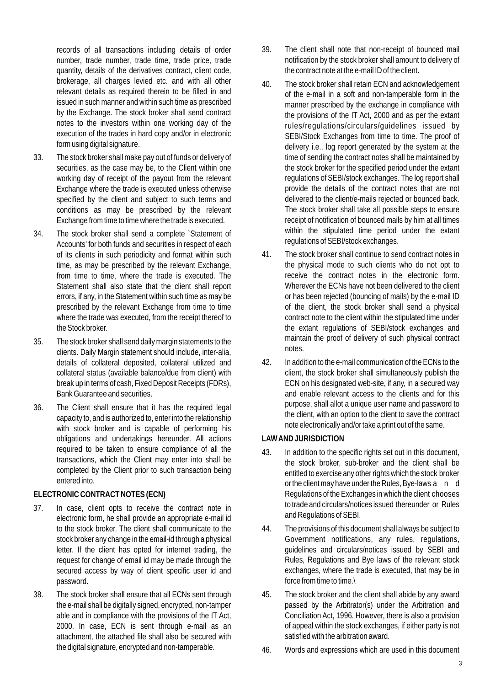records of all transactions including details of order number, trade number, trade time, trade price, trade quantity, details of the derivatives contract, client code, brokerage, all charges levied etc. and with all other relevant details as required therein to be filled in and issued in such manner and within such time as prescribed by the Exchange. The stock broker shall send contract notes to the investors within one working day of the execution of the trades in hard copy and/or in electronic form using digital signature.

- 33. The stock broker shall make pay out of funds or delivery of securities, as the case may be, to the Client within one working day of receipt of the payout from the relevant Exchange where the trade is executed unless otherwise specified by the client and subject to such terms and conditions as may be prescribed by the relevant Exchange from time to time where the trade is executed.
- 34. The stock broker shall send a complete `Statement of Accounts' for both funds and securities in respect of each of its clients in such periodicity and format within such time, as may be prescribed by the relevant Exchange, from time to time, where the trade is executed. The Statement shall also state that the client shall report errors, if any, in the Statement within such time as may be prescribed by the relevant Exchange from time to time where the trade was executed, from the receipt thereof to the Stock broker.
- 35. The stock broker shall send daily margin statements to the clients. Daily Margin statement should include, inter-alia, details of collateral deposited, collateral utilized and collateral status (available balance/due from client) with break up in terms of cash, Fixed Deposit Receipts (FDRs), Bank Guarantee and securities.
- 36. The Client shall ensure that it has the required legal capacity to, and is authorized to, enter into the relationship with stock broker and is capable of performing his obligations and undertakings hereunder. All actions required to be taken to ensure compliance of all the transactions, which the Client may enter into shall be completed by the Client prior to such transaction being entered into.

#### **ELECTRONIC CONTRACT NOTES (ECN)**

- 37. In case, client opts to receive the contract note in electronic form, he shall provide an appropriate e-mail id to the stock broker. The client shall communicate to the stock broker any change in the email-id through a physical letter. If the client has opted for internet trading, the request for change of email id may be made through the secured access by way of client specific user id and password.
- 38. The stock broker shall ensure that all ECNs sent through the e-mail shall be digitally signed, encrypted, non-tamper able and in compliance with the provisions of the IT Act, 2000. In case, ECN is sent through e-mail as an attachment, the attached file shall also be secured with the digital signature, encrypted and non-tamperable.
- 39. The client shall note that non-receipt of bounced mail notification by the stock broker shall amount to delivery of the contract note at the e-mail ID of the client.
- 40. The stock broker shall retain ECN and acknowledgement of the e-mail in a soft and non-tamperable form in the manner prescribed by the exchange in compliance with the provisions of the IT Act, 2000 and as per the extant rules/regulations/circulars/guidelines issued by SEBI/Stock Exchanges from time to time. The proof of delivery i.e., log report generated by the system at the time of sending the contract notes shall be maintained by the stock broker for the specified period under the extant regulations of SEBI/stock exchanges. The log report shall provide the details of the contract notes that are not delivered to the client/e-mails rejected or bounced back. The stock broker shall take all possible steps to ensure receipt of notification of bounced mails by him at all times within the stipulated time period under the extant regulations of SEBI/stock exchanges.
- 41. The stock broker shall continue to send contract notes in the physical mode to such clients who do not opt to receive the contract notes in the electronic form. Wherever the ECNs have not been delivered to the client or has been rejected (bouncing of mails) by the e-mail ID of the client, the stock broker shall send a physical contract note to the client within the stipulated time under the extant regulations of SEBI/stock exchanges and maintain the proof of delivery of such physical contract notes.
- 42. In addition to the e-mail communication of the ECNs to the client, the stock broker shall simultaneously publish the ECN on his designated web-site, if any, in a secured way and enable relevant access to the clients and for this purpose, shall allot a unique user name and password to the client, with an option to the client to save the contract note electronically and/or take a print out of the same.

## **LAW AND JURISDICTION**

- 43. In addition to the specific rights set out in this document, the stock broker, sub-broker and the client shall be entitled to exercise any other rights which the stock broker or the client may have under the Rules, Bye-laws a n d Regulations of the Exchanges in which the client chooses to trade and circulars/notices issued thereunder or Rules and Regulations of SEBI.
- 44. The provisions of this document shall always be subject to Government notifications, any rules, regulations, guidelines and circulars/notices issued by SEBI and Rules, Regulations and Bye laws of the relevant stock exchanges, where the trade is executed, that may be in force from time to time.\
- 45. The stock broker and the client shall abide by any award passed by the Arbitrator(s) under the Arbitration and Conciliation Act, 1996. However, there is also a provision of appeal within the stock exchanges, if either party is not satisfied with the arbitration award.
- 46. Words and expressions which are used in this document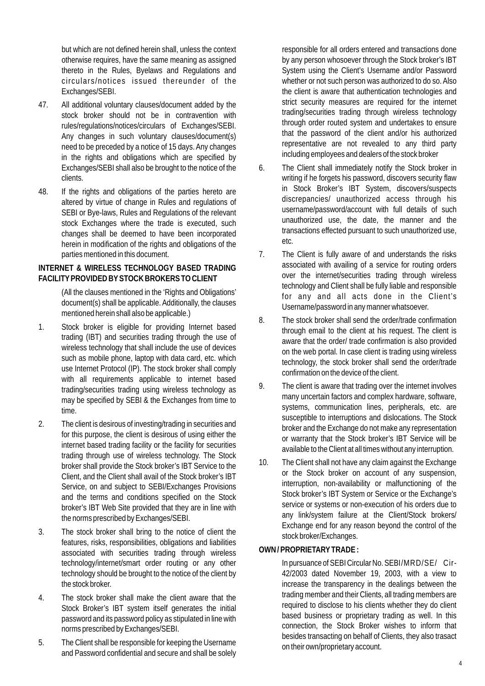but which are not defined herein shall, unless the context otherwise requires, have the same meaning as assigned thereto in the Rules, Byelaws and Regulations and circulars/notices issued thereunder of the Exchanges/SEBI.

- 47. All additional voluntary clauses/document added by the stock broker should not be in contravention with rules/regulations/notices/circulars of Exchanges/SEBI. Any changes in such voluntary clauses/document(s) need to be preceded by a notice of 15 days. Any changes in the rights and obligations which are specified by Exchanges/SEBI shall also be brought to the notice of the clients.
- 48. If the rights and obligations of the parties hereto are altered by virtue of change in Rules and regulations of SEBI or Bye-laws, Rules and Regulations of the relevant stock Exchanges where the trade is executed, such changes shall be deemed to have been incorporated herein in modification of the rights and obligations of the parties mentioned in this document.

#### **INTERNET & WIRELESS TECHNOLOGY BASED TRADING FACILITYPROVIDED BYSTOCK BROKERS TO CLIENT**

(All the clauses mentioned in the 'Rights and Obligations' document(s) shall be applicable. Additionally, the clauses mentioned herein shall also be applicable.)

- 1. Stock broker is eligible for providing Internet based trading (IBT) and securities trading through the use of wireless technology that shall include the use of devices such as mobile phone, laptop with data card, etc. which use Internet Protocol (IP). The stock broker shall comply with all requirements applicable to internet based trading/securities trading using wireless technology as may be specified by SEBI & the Exchanges from time to time.
- 2. The client is desirous of investing/trading in securities and for this purpose, the client is desirous of using either the internet based trading facility or the facility for securities trading through use of wireless technology. The Stock broker shall provide the Stock broker's IBT Service to the Client, and the Client shall avail of the Stock broker's IBT Service, on and subject to SEBI/Exchanges Provisions and the terms and conditions specified on the Stock broker's IBT Web Site provided that they are in line with the norms prescribed by Exchanges/SEBI.
- 3. The stock broker shall bring to the notice of client the features, risks, responsibilities, obligations and liabilities associated with securities trading through wireless technology/internet/smart order routing or any other technology should be brought to the notice of the client by the stock broker.
- 4. The stock broker shall make the client aware that the Stock Broker's IBT system itself generates the initial password and its password policy as stipulated in line with norms prescribed by Exchanges/SEBI.
- 5. The Client shall be responsible for keeping the Username and Password confidential and secure and shall be solely

responsible for all orders entered and transactions done by any person whosoever through the Stock broker's IBT System using the Client's Username and/or Password whether or not such person was authorized to do so. Also the client is aware that authentication technologies and strict security measures are required for the internet trading/securities trading through wireless technology through order routed system and undertakes to ensure that the password of the client and/or his authorized representative are not revealed to any third party including employees and dealers of the stock broker

- 6. The Client shall immediately notify the Stock broker in writing if he forgets his password, discovers security flaw in Stock Broker's IBT System, discovers/suspects discrepancies/ unauthorized access through his username/password/account with full details of such unauthorized use, the date, the manner and the transactions effected pursuant to such unauthorized use, etc.
- 7. The Client is fully aware of and understands the risks associated with availing of a service for routing orders over the internet/securities trading through wireless technology and Client shall be fully liable and responsible for any and all acts done in the Client's Username/password in any manner whatsoever.
- 8. The stock broker shall send the order/trade confirmation through email to the client at his request. The client is aware that the order/ trade confirmation is also provided on the web portal. In case client is trading using wireless technology, the stock broker shall send the order/trade confirmation on the device of the client.
- 9. The client is aware that trading over the internet involves many uncertain factors and complex hardware, software, systems, communication lines, peripherals, etc. are susceptible to interruptions and dislocations. The Stock broker and the Exchange do not make any representation or warranty that the Stock broker's IBT Service will be available to the Client at all times without any interruption.
- 10. The Client shall not have any claim against the Exchange or the Stock broker on account of any suspension, interruption, non-availability or malfunctioning of the Stock broker's IBT System or Service or the Exchange's service or systems or non-execution of his orders due to any link/system failure at the Client/Stock brokers/ Exchange end for any reason beyond the control of the stock broker/Exchanges.

## **OWN / PROPRIETARYTRADE :**

In pursuance of SEBI Circular No. SEBI/MRD/SE/ Cir-42/2003 dated November 19, 2003, with a view to increase the transparency in the dealings between the trading member and their Clients, all trading members are required to disclose to his clients whether they do client based business or proprietary trading as well. In this connection, the Stock Broker wishes to inform that besides transacting on behalf of Clients, they also trasact on their own/proprietary account.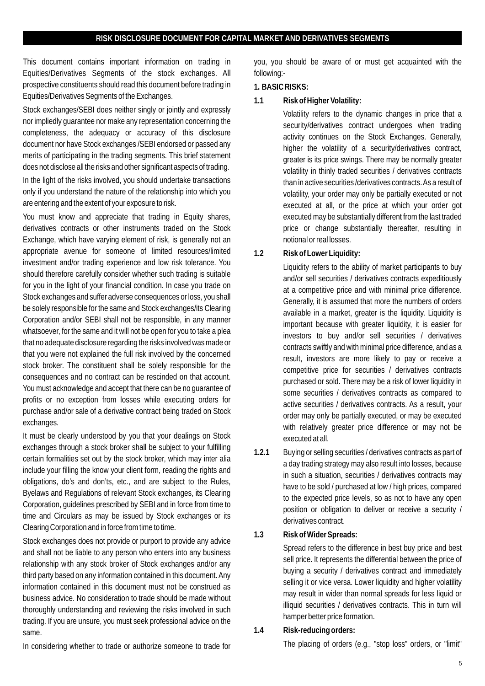This document contains important information on trading in Equities/Derivatives Segments of the stock exchanges. All prospective constituents should read this document before trading in Equities/Derivatives Segments of the Exchanges.

Stock exchanges/SEBI does neither singly or jointly and expressly nor impliedly guarantee nor make any representation concerning the completeness, the adequacy or accuracy of this disclosure document nor have Stock exchanges /SEBI endorsed or passed any merits of participating in the trading segments. This brief statement does not disclose all the risks and other significant aspects of trading.

In the light of the risks involved, you should undertake transactions only if you understand the nature of the relationship into which you are entering and the extent of your exposure to risk.

You must know and appreciate that trading in Equity shares, derivatives contracts or other instruments traded on the Stock Exchange, which have varying element of risk, is generally not an appropriate avenue for someone of limited resources/limited investment and/or trading experience and low risk tolerance. You should therefore carefully consider whether such trading is suitable for you in the light of your financial condition. In case you trade on Stock exchanges and suffer adverse consequences or loss, you shall be solely responsible for the same and Stock exchanges/its Clearing Corporation and/or SEBI shall not be responsible, in any manner whatsoever, for the same and it will not be open for you to take a plea that no adequate disclosure regarding the risks involved was made or that you were not explained the full risk involved by the concerned stock broker. The constituent shall be solely responsible for the consequences and no contract can be rescinded on that account. You must acknowledge and accept that there can be no guarantee of profits or no exception from losses while executing orders for purchase and/or sale of a derivative contract being traded on Stock exchanges.

It must be clearly understood by you that your dealings on Stock exchanges through a stock broker shall be subject to your fulfilling certain formalities set out by the stock broker, which may inter alia include your filling the know your client form, reading the rights and obligations, do's and don'ts, etc., and are subject to the Rules, Byelaws and Regulations of relevant Stock exchanges, its Clearing Corporation, guidelines prescribed by SEBI and in force from time to time and Circulars as may be issued by Stock exchanges or its Clearing Corporation and in force from time to time.

Stock exchanges does not provide or purport to provide any advice and shall not be liable to any person who enters into any business relationship with any stock broker of Stock exchanges and/or any third party based on any information contained in this document. Any information contained in this document must not be construed as business advice. No consideration to trade should be made without thoroughly understanding and reviewing the risks involved in such trading. If you are unsure, you must seek professional advice on the same.

In considering whether to trade or authorize someone to trade for

you, you should be aware of or must get acquainted with the following:-

#### **1. BASIC RISKS:**

**1.1 Risk of Higher Volatility:**

Volatility refers to the dynamic changes in price that a security/derivatives contract undergoes when trading activity continues on the Stock Exchanges. Generally, higher the volatility of a security/derivatives contract, greater is its price swings. There may be normally greater volatility in thinly traded securities / derivatives contracts than in active securities /derivatives contracts. As a result of volatility, your order may only be partially executed or not executed at all, or the price at which your order got executed may be substantially different from the last traded price or change substantially thereafter, resulting in notional or real losses.

**1.2 Risk of Lower Liquidity:**

Liquidity refers to the ability of market participants to buy and/or sell securities / derivatives contracts expeditiously at a competitive price and with minimal price difference. Generally, it is assumed that more the numbers of orders available in a market, greater is the liquidity. Liquidity is important because with greater liquidity, it is easier for investors to buy and/or sell securities / derivatives contracts swiftly and with minimal price difference, and as a result, investors are more likely to pay or receive a competitive price for securities / derivatives contracts purchased or sold. There may be a risk of lower liquidity in some securities / derivatives contracts as compared to active securities / derivatives contracts. As a result, your order may only be partially executed, or may be executed with relatively greater price difference or may not be executed at all.

- **1.2.1** Buying or selling securities / derivatives contracts as part of a day trading strategy may also result into losses, because in such a situation, securities / derivatives contracts may have to be sold / purchased at low / high prices, compared to the expected price levels, so as not to have any open position or obligation to deliver or receive a security / derivatives contract.
- **1.3 Risk of Wider Spreads:**

Spread refers to the difference in best buy price and best sell price. It represents the differential between the price of buying a security / derivatives contract and immediately selling it or vice versa. Lower liquidity and higher volatility may result in wider than normal spreads for less liquid or illiquid securities / derivatives contracts. This in turn will hamper better price formation.

**1.4 Risk-reducing orders:**

The placing of orders (e.g., "stop loss" orders, or "limit"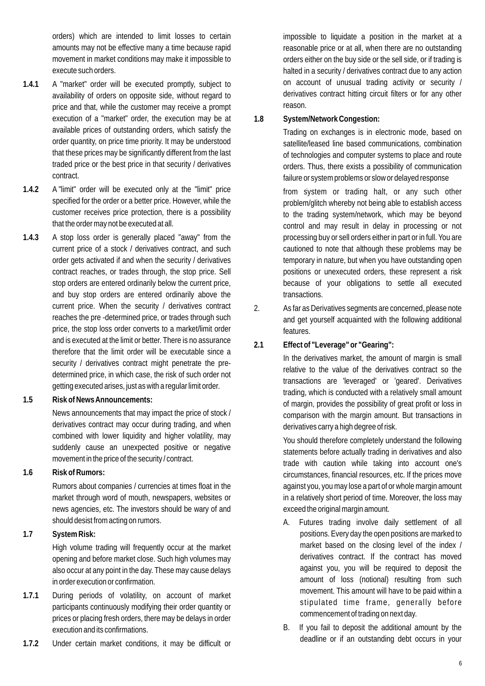orders) which are intended to limit losses to certain amounts may not be effective many a time because rapid movement in market conditions may make it impossible to execute such orders.

- **1.4.1** A "market" order will be executed promptly, subject to availability of orders on opposite side, without regard to price and that, while the customer may receive a prompt execution of a "market" order, the execution may be at available prices of outstanding orders, which satisfy the order quantity, on price time priority. It may be understood that these prices may be significantly different from the last traded price or the best price in that security / derivatives contract.
- **1.4.2** A "limit" order will be executed only at the "limit" price specified for the order or a better price. However, while the customer receives price protection, there is a possibility that the order may not be executed at all.
- **1.4.3** A stop loss order is generally placed "away" from the current price of a stock / derivatives contract, and such order gets activated if and when the security / derivatives contract reaches, or trades through, the stop price. Sell stop orders are entered ordinarily below the current price, and buy stop orders are entered ordinarily above the current price. When the security / derivatives contract reaches the pre -determined price, or trades through such price, the stop loss order converts to a market/limit order and is executed at the limit or better. There is no assurance therefore that the limit order will be executable since a security / derivatives contract might penetrate the predetermined price, in which case, the risk of such order not getting executed arises, just as with a regular limit order.
- **1.5 Risk of News Announcements:**

News announcements that may impact the price of stock / derivatives contract may occur during trading, and when combined with lower liquidity and higher volatility, may suddenly cause an unexpected positive or negative movement in the price of the security / contract.

**1.6 Risk of Rumors:**

Rumors about companies / currencies at times float in the market through word of mouth, newspapers, websites or news agencies, etc. The investors should be wary of and should desist from acting on rumors.

**1.7 System Risk:**

High volume trading will frequently occur at the market opening and before market close. Such high volumes may also occur at any point in the day. These may cause delays in order execution or confirmation.

- **1.7.1** During periods of volatility, on account of market participants continuously modifying their order quantity or prices or placing fresh orders, there may be delays in order execution and its confirmations.
- **1.7.2** Under certain market conditions, it may be difficult or

impossible to liquidate a position in the market at a reasonable price or at all, when there are no outstanding orders either on the buy side or the sell side, or if trading is halted in a security / derivatives contract due to any action on account of unusual trading activity or security / derivatives contract hitting circuit filters or for any other reason.

**1.8 System/Network Congestion:**

Trading on exchanges is in electronic mode, based on satellite/leased line based communications, combination of technologies and computer systems to place and route orders. Thus, there exists a possibility of communication failure or system problems or slow or delayed response

. from system or trading halt, or any such other problem/glitch whereby not being able to establish access to the trading system/network, which may be beyond control and may result in delay in processing or not processing buy or sell orders either in part or in full. You are cautioned to note that although these problems may be temporary in nature, but when you have outstanding open positions or unexecuted orders, these represent a risk because of your obligations to settle all executed transactions.

- 2. As far as Derivatives segments are concerned, please note and get yourself acquainted with the following additional features.
- **2.1 Effect of "Leverage" or "Gearing":**

. In the derivatives market, the amount of margin is small relative to the value of the derivatives contract so the transactions are 'leveraged' or 'geared'. Derivatives trading, which is conducted with a relatively small amount of margin, provides the possibility of great profit or loss in comparison with the margin amount. But transactions in derivatives carry a high degree of risk.

You should therefore completely understand the following statements before actually trading in derivatives and also trade with caution while taking into account one's circumstances, financial resources, etc. If the prices move against you, you may lose a part of or whole margin amount in a relatively short period of time. Moreover, the loss may exceed the original margin amount.

- A. Futures trading involve daily settlement of all positions. Every day the open positions are marked to market based on the closing level of the index / derivatives contract. If the contract has moved against you, you will be required to deposit the amount of loss (notional) resulting from such movement. This amount will have to be paid within a stipulated time frame, generally before commencement of trading on next day.
- B. If you fail to deposit the additional amount by the deadline or if an outstanding debt occurs in your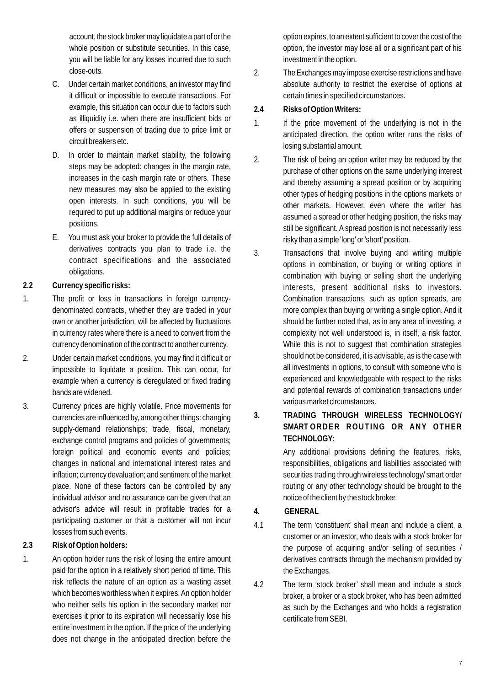account, the stock broker may liquidate a part of or the whole position or substitute securities. In this case, you will be liable for any losses incurred due to such close-outs.

- C. Under certain market conditions, an investor may find it difficult or impossible to execute transactions. For example, this situation can occur due to factors such as illiquidity i.e. when there are insufficient bids or offers or suspension of trading due to price limit or circuit breakers etc.
- D. In order to maintain market stability, the following steps may be adopted: changes in the margin rate, increases in the cash margin rate or others. These new measures may also be applied to the existing open interests. In such conditions, you will be required to put up additional margins or reduce your positions.
- E. You must ask your broker to provide the full details of derivatives contracts you plan to trade i.e. the contract specifications and the associated obligations.
- **2.2 Currency specific risks:**
- 1. The profit or loss in transactions in foreign currencydenominated contracts, whether they are traded in your own or another jurisdiction, will be affected by fluctuations in currency rates where there is a need to convert from the currency denomination of the contract to another currency.
- 2. Under certain market conditions, you may find it difficult or impossible to liquidate a position. This can occur, for example when a currency is deregulated or fixed trading bands are widened.
- 3. Currency prices are highly volatile. Price movements for currencies are influenced by, among other things: changing supply-demand relationships; trade, fiscal, monetary, exchange control programs and policies of governments; foreign political and economic events and policies; changes in national and international interest rates and inflation; currency devaluation; and sentiment of the market place. None of these factors can be controlled by any individual advisor and no assurance can be given that an advisor's advice will result in profitable trades for a participating customer or that a customer will not incur losses from such events.
- **2.3 Risk of Option holders:**
- 1. An option holder runs the risk of losing the entire amount paid for the option in a relatively short period of time. This risk reflects the nature of an option as a wasting asset which becomes worthless when it expires. An option holder who neither sells his option in the secondary market nor exercises it prior to its expiration will necessarily lose his entire investment in the option. If the price of the underlying does not change in the anticipated direction before the

option expires, to an extent sufficient to cover the cost of the option, the investor may lose all or a significant part of his investment in the option.

- 2. The Exchanges may impose exercise restrictions and have absolute authority to restrict the exercise of options at certain times in specified circumstances.
- **2.4 Risks of Option Writers:**
- 1. If the price movement of the underlying is not in the anticipated direction, the option writer runs the risks of losing substantial amount.
- 2. The risk of being an option writer may be reduced by the purchase of other options on the same underlying interest and thereby assuming a spread position or by acquiring other types of hedging positions in the options markets or other markets. However, even where the writer has assumed a spread or other hedging position, the risks may still be significant. A spread position is not necessarily less risky than a simple 'long' or 'short' position.
- 3. Transactions that involve buying and writing multiple options in combination, or buying or writing options in combination with buying or selling short the underlying interests, present additional risks to investors. Combination transactions, such as option spreads, are more complex than buying or writing a single option. And it should be further noted that, as in any area of investing, a complexity not well understood is, in itself, a risk factor. While this is not to suggest that combination strategies should not be considered, it is advisable, as is the case with all investments in options, to consult with someone who is experienced and knowledgeable with respect to the risks and potential rewards of combination transactions under various market circumstances.
- **3. TRADING THROUGH WIRELESS TECHNOLOGY/ SMART ORDER ROUTING OR ANY OTHER TECHNOLOGY:**

Any additional provisions defining the features, risks, responsibilities, obligations and liabilities associated with securities trading through wireless technology/ smart order routing or any other technology should be brought to the notice of the client by the stock broker.

- **4. GENERAL**
- 4.1 The term 'constituent' shall mean and include a client, a customer or an investor, who deals with a stock broker for the purpose of acquiring and/or selling of securities / derivatives contracts through the mechanism provided by the Exchanges.
- 4.2 The term 'stock broker' shall mean and include a stock broker, a broker or a stock broker, who has been admitted as such by the Exchanges and who holds a registration certificate from SEBI.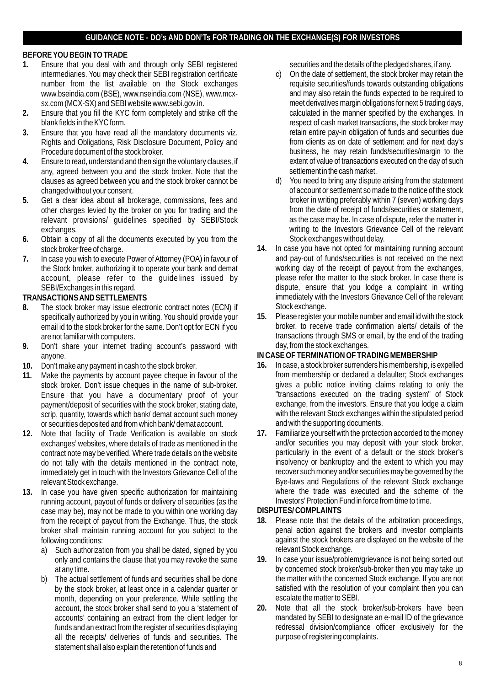#### **GUIDANCE NOTE - DO's AND DON'Ts FOR TRADING ON THE EXCHANGE(S) FOR INVESTORS**

#### **BEFORE YOU BEGIN TO TRADE**

- 1. Ensure that you deal with and through only SEBI registered securities and the details of the pledged shares, if any. intermediaries. You may check their SEBI registration certificate c) On the date of settlement, the stock broker may retain the number from the list available on the Stock exchanges requisite securities/funds towards outstanding obligations www.bseindia.com (BSE), www.nseindia.com (NSE), www.mcx- and may also retain the funds expected to be required to<br>sx.com (MCX-SX) and SEBI website www.sebi.gov.in. exercise and meet derivatives margin obligations for next
- 2. Ensure that you fill the KYC form completely and strike off the
- 3. Ensure that you have read all the mandatory documents viz. The all the mandatory of the state of settlement and securities due<br>Rights and Obligations. Risk Disclosure Document. Policy and **the act of the state of settle** Rights and Obligations, Risk Disclosure Document, Policy and
- 4. Ensure to read, understand and then sign the voluntary clauses, if any, agreed between you and the stock broker. Note that the settlement in the cashmarket.<br>clauses as agreed between you and the stock broker cannot be settlement of the statement of the statement clauses as agreed between you and the stock broker cannot be
- 5. Get a clear idea about all brokerage, commissions, fees and broker in writing preferably within 7 (seven) working days other charges levied by the broker on you for trading and the **the set of the date of receipt of fun** other charges levied by the broker on you for trading and the from the date of receipt of funds/securities or statement,<br>Freevant provisions/ quidelines specified by SEBI/Stock as the case may be. In case of dispute, refer relevant provisions/ quidelines specified by SEBI/Stock
- 6. Obtain a copy of all the documents executed by you from the
- 7. In case you wish to execute Power of Attorney (POA) in favour of and pay-out of funds/securities is not received on the next the Stock broker, authorizing it to operate your bank and demat working day of the receipt of account, please refer to the quidelines issued by

- 8. The stock broker may issue electronic contract notes (ECN) if Stock exchange.<br>Specifically authorized by you in writing. You should provide your 15. Please register your mobile number and email id with the stock email id to the stock broker for the same. Don't opt for ECN if you
- 9. Don't share your internet trading account's password with anyone. **IN CASE OF TERMINATION OF TRADING MEMBERSHIP**
- 
- 11. Make the payments by account payee cheque in favour of the from membership or declared a defaulter; Stock exchanges<br>stock broker. Don't issue cheques in the name of sub-broker. **The antice a public notice inviting clai** scrip, quantity, towards which bank/ demat account such money with the relevant Stock exchanges v<br>or securities deposited and from which bank/ demat account. and with the supporting documents. or securities deposited and from which bank/ demat account.<br>Note that facility of Trade Verification is available on stock 17. Familiarize yourself with the protection accorded to the money
- **12.** Note that facility of Trade Verification is available on stock **17.** Familiarize yourself with the protection accorded to the money immediately get in touch with the Investors Grievance Cell of the
- 13. In case you have given specific authorization for maintaining where the trade was executed and the scheme of the trade was executed and the scheme of the scheme of the scheme of technical condetivery of securities (as running account, payout of funds or delivery of securities (as the Investors' Protection F<br>Case may be) may not be made to you within one working day DISPUTES/COMPLAINTS case may be), may not be made to you within one working day from the receipt of payout from the Exchange. Thus, the stock broker shall maintain running account for you subject to the
	- a) Such authorization from you shall be dated, signed by you only and contains the clause that you may revoke the same.  $19$ .
	- by the stock broker, at least once in a calendar quarter or month, depending on your preference. While settling the escalate the matter to SEBI. funds and an extract from the register of securities displaying redressal division/compliance of all the receipts/ deliveries of funds and securities. The purpose of registering complaints. all the receipts/ deliveries of funds and securities. The statement shall also explain the retention of funds and

- meet derivatives margin obligations for next 5 trading days, calculated in the manner specified by the exchanges. In blank fields in the KYC form.<br>
Ensure that you have read all the mandatory documents viz.<br>
Fetain entire pay-in obligation of funds and securities due Procedure document of the stock broker.<br>
Ensure to read, understand and then sign the voluntary clauses, if entity extent of value of transactions executed on the day of such
- changed without your consent.<br>Cet a clear idea about all brokerage, commissions, fees and broker in writing preferably within 7 (seven) working days exchanges.<br>
Obtain a copy of all the documents executed by you from the Stock exchanges without delay.
- stock broker free of charge.<br>
In case you have not opted for maintaining running account<br>
In case you wish to execute Power of Attorney (POA) in favour of **and pay-out of funds/securities is not received on the next** the Stock broker, authorizing it to operate your bank and demat working day of the receipt of payout from the exchanges, account, please refer to the quidelines issued by please refer the matter to the stock broker. In cas SEBI/Exchanges in this regard. The complaint in the complaint in writing in the complaint in writing **TRANSACTIONS AND SETTLEMENTS**<br>
8. The stock broker may issue electronic contract notes (ECN) if Stock exchange.
	- specifically authorized by you in writing. You should provide your **15.** Please register your mobile number and email id with the stock are not familiar with computers.<br>
	Don't share vour internet trading account's password with day from the stock exchanges.

- **10.** Don't make any payment in cash to the stock broker. **16.** In case, a stock broker surrenders his membership, is expelled stock broker. Don't issue cheques in the name of sub-broker. gives a public notice inviting claims relating to only the<br>Ensure that you have a documentary proof of your "transactions executed on the trading system" of Stoc Ensure that you have a documentary proof of your<br>
payment/depositiof securities with the stock broker, stating date, exchange, from the investors. Ensure that you lodge a claim payment/deposit of securities with the stock broker, stating date, exchange, from the investors. Ensure that you lodge a claim<br>scrip, quantity, towards which bank/demat account such money with the relevant Stock exchanges
	- exchanges' websites, where details of trade as mentioned in the and/or securities you may deposit with your stock broker,<br>
	contract note may be verified. Where trade details on the website particularly in the event of a de contract note may be verified. Where trade details on the website particularly in the event of a default or the stock broker's do not tally with the details mentioned in the contract note. Insolvency or bankruptcy and the do not tally with the details mentioned in the contract note, insolvency or bankruptcy and the extent to which you may<br>immediately get in touch with the Investors Grievance Cell of the recover such money and/or securities relevant Stock exchange.<br>
	In case you have given specific authorization for maintaining and Regulations of the relevant Stock exchange<br>
	Where the trade was executed and the scheme of the

- from the reception of the arbitration proceedings, penal action against the brokers and investor complaints following conditions:<br>
against the stock brokers are displayed on the website of the<br>
a) Such authorization from you shall be dated, signed by you relevant Stock exchange.
- only and contains the clause that you may revoke the same **19.** In case your issue/problem/grievance is not being sorted out at any time.<br>The actual settlement of funds and securities shall be done the matter with the concerned Stock exchange. If you are not b) The actual settlement of funds and securities shall be done the matter with the concerned Stock exchange. If you are not by the stock broker, at least once in a calendar quarter or satisfied with the resolution of your
	- account, the stock broker shall send to you a 'statement of **20.** Note that all the stock broker/sub-brokers have been accounts' containing an extract from the client ledger for mandated by SEBI to designate an e-mail ID of the grievance<br>
	funds and an extract from the register of securities displaying redressal division/compliance officer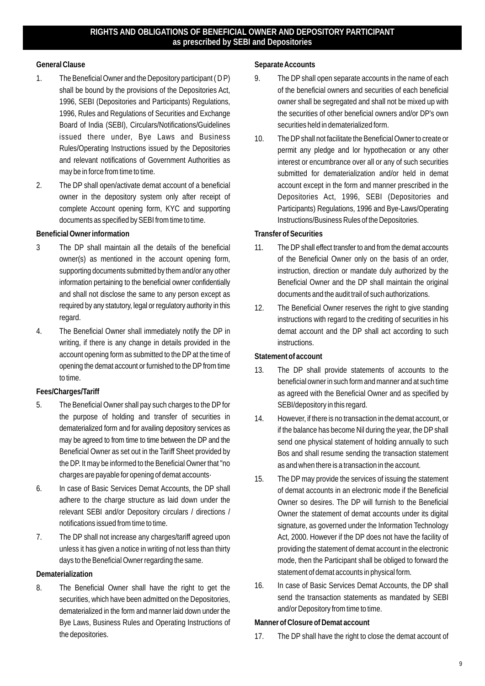### **RIGHTS AND OBLIGATIONS OF BENEFICIAL OWNER AND DEPOSITORY PARTICIPANT as prescribed by SEBI and Depositories**

#### **General Clause**

- 1. The Beneficial Owner and the Depository participant ( D P) shall be bound by the provisions of the Depositories Act, 1996, SEBI (Depositories and Participants) Regulations, 1996, Rules and Regulations of Securities and Exchange Board of India (SEBI), Circulars/Notifications/Guidelines issued there under, Bye Laws and Business Rules/Operating Instructions issued by the Depositories and relevant notifications of Government Authorities as may be in force from time to time.
- 2. The DP shall open/activate demat account of a beneficial owner in the depository system only after receipt of complete Account opening form, KYC and supporting documents as specified by SEBI from time to time.

**Beneficial Owner information**

- 3 The DP shall maintain all the details of the beneficial owner(s) as mentioned in the account opening form, supporting documents submitted by them and/or any other information pertaining to the beneficial owner confidentially and shall not disclose the same to any person except as required by any statutory, legal or regulatory authority in this regard.
- 4. The Beneficial Owner shall immediately notify the DP in writing, if there is any change in details provided in the account opening form as submitted to the DP at the time of opening the demat account or furnished to the DP fromtime to time.

## **Fees/Charges/Tariff**

- 5. The Beneficial Owner shall pay such charges to the DP for the purpose of holding and transfer of securities in dematerialized form and for availing depository services as may be agreed to from time to time between the DP and the Beneficial Owner as set out in the Tariff Sheet provided by the DP. It may be informed to the Beneficial Owner that "no charges are payable for opening of demat accounts·
- 6. In case of Basic Services Demat Accounts, the DP shall adhere to the charge structure as laid down under the relevant SEBI and/or Depository circulars / directions / notifications issued from time to time.
- 7. The DP shall not increase any charges/tariff agreed upon unless it has given a notice in writing of not less than thirty days to the Beneficial Owner regarding the same.

## **Dematerialization**

8. The Beneficial Owner shall have the right to get the securities, which have been admitted on the Depositories, dematerialized in the form and manner laid down under the Bye Laws, Business Rules and Operating Instructions of the depositories.

**Separate Accounts**

- 9. The DP shall open separate accounts in the name of each of the beneficial owners and securities of each beneficial owner shall be segregated and shall not be mixed up with the securities of other beneficial owners and/or DP's own securities held in dematerialized form.
- 10. The DPshall not facilitate the Beneficial Owner to create or permit any pledge and lor hypothecation or any other interest or encumbrance over all or any of such securities submitted for dematerialization and/or held in demat account except in the form and manner prescribed in the Depositories Act, 1996, SEBI (Depositories and Participants) Regulations, 1996 and Bye-Laws/Operating Instructions/Business Rules of the Depositories.

**Transfer of Securities**

- 11. The DP shall effect transfer to and from the demat accounts of the Beneficial Owner only on the basis of an order, instruction, direction or mandate duly authorized by the Beneficial Owner and the DP shall maintain the original documents and the audit trail of such authorizations.
- 12. The Beneficial Owner reserves the right to give standing instructions with regard to the crediting of securities in his demat account and the DP shall act according to such instructions.

**Statement of account**

- 13. The DP shall provide statements of accounts to the beneficial owner in such form and manner and at such time as agreed with the Beneficial Owner and as specified by SEBI/depository in this regard.
- 14. However, if there is no transaction in the demat account, or if the balance has become Nil during the year, the DP shall send one physical statement of holding annually to such Bos and shall resume sending the transaction statement as and when there is a transaction in the account.
- 15. The DP may provide the services of issuing the statement of demat accounts in an electronic mode if the Beneficial Owner so desires. The DP will furnish to the Beneficial Owner the statement of demat accounts under its digital signature, as governed under the Information Technology Act, 2000. However if the DP does not have the facility of providing the statement of demat account in the electronic mode, then the Participant shall be obliged to forward the statement of demat accounts in physical form.
- 16. In case of Basic Services Demat Accounts, the DP shall send the transaction statements as mandated by SEBI and/or Depository from time to time.

**Manner of Closure of Demat account**

17. The DP shall have the right to close the demat account of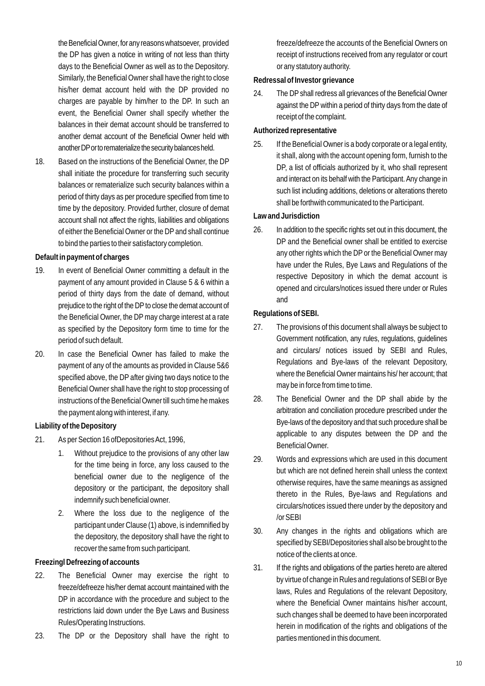the Beneficial Owner, for any reasons whatsoever, provided the DP has given a notice in writing of not less than thirty days to the Beneficial Owner as well as to the Depository. Similarly, the Beneficial Owner shall have the right to close his/her demat account held with the DP provided no charges are payable by him/her to the DP. In such an event, the Beneficial Owner shall specify whether the balances in their demat account should be transferred to another demat account of the Beneficial Owner held with another DP or to rematerialize the security balances held.

18. Based on the instructions of the Beneficial Owner, the DP shall initiate the procedure for transferring such security balances or rematerialize such security balances within a period of thirty days as per procedure specified fromtime to time by the depository. Provided further, closure of demat account shall not affect the rights, liabilities and obligations of either the Beneficial Owner or the DP and shall continue to bind the parties to their satisfactory completion.

#### **Default in payment of charges**

- 19. In event of Beneficial Owner committing a default in the payment of any amount provided in Clause 5 & 6 within a period of thirty days from the date of demand, without prejudice to the right of the DP to close the demat account of the Beneficial Owner, the DP may charge interest at a rate as specified by the Depository form time to time for the period of such default.
- 20. In case the Beneficial Owner has failed to make the payment of any of the amounts as provided in Clause 5&6 specified above, the DP after giving two days notice to the Beneficial Owner shall have the right to stop processing of instructions of the Beneficial Owner till such time he makes the payment along with interest, if any.

#### **Liability of the Depository**

- 21. As per Section 16 ofDepositories Act, 1996,
	- 1. Without prejudice to the provisions of any other law for the time being in force, any loss caused to the beneficial owner due to the negligence of the depository or the participant, the depository shall indemnify such beneficial owner.
	- 2. Where the loss due to the negligence of the participant under Clause (1) above, is indemnified by the depository, the depository shall have the right to recover the same from such participant.

#### **Freezingl Defreezing of accounts**

- 22. The Beneficial Owner may exercise the right to freeze/defreeze his/her demat account maintained with the DP in accordance with the procedure and subject to the restrictions laid down under the Bye Laws and Business Rules/Operating Instructions.
- 23. The DP or the Depository shall have the right to

freeze/defreeze the accounts of the Beneficial Owners on receipt of instructions received from any regulator or court or any statutory authority.

**Redressal of Investor grievance**

24. The DP shall redress all grievances of the Beneficial Owner against the DP within a period of thirty days from the date of receipt of the complaint.

#### **Authorized representative**

25. If the Beneficial Owner is a body corporate or a legal entity, it shall, along with the account opening form, furnish to the DP, a list of officials authorized by it, who shall represent and interact on its behalf with the Participant.Any change in such list including additions, deletions or alterations thereto shall be forthwith communicated to the Participant.

#### **Law and Jurisdiction**

26. In addition to the specific rights set out in this document, the DP and the Beneficial owner shall be entitled to exercise any other rights which the DP or the Beneficial Owner may have under the Rules, Bye Laws and Regulations of the respective Depository in which the demat account is opened and circulars/notices issued there under or Rules and

#### **Regulations of SEBI.**

- 27. The provisions of this document shall always be subject to Government notification, any rules, regulations, guidelines and circulars/ notices issued by SEBI and Rules, Regulations and Bye-laws of the relevant Depository, where the Beneficial Owner maintains his/ her account; that may be in force from time to time.
- 28. The Beneficial Owner and the DP shall abide by the arbitration and conciliation procedure prescribed under the Bye-laws of the depository and that such procedure shall be applicable to any disputes between the DP and the Beneficial Owner.
- 29. Words and expressions which are used in this document but which are not defined herein shall unless the context otherwise requires, have the same meanings as assigned thereto in the Rules, Bye-laws and Regulations and circulars/notices issued there under by the depository and /or SEBI
- 30. Any changes in the rights and obligations which are specified by SEBI/Depositories shall also be brought to the notice of the clients at once.
- 31. If the rights and obligations of the parties hereto are altered by virtue of change in Rules and regulations of SEBI or Bye laws, Rules and Regulations of the relevant Depository, where the Beneficial Owner maintains his/her account, such changes shall be deemed to have been incorporated herein in modification of the rights and obligations of the parties mentioned in this document.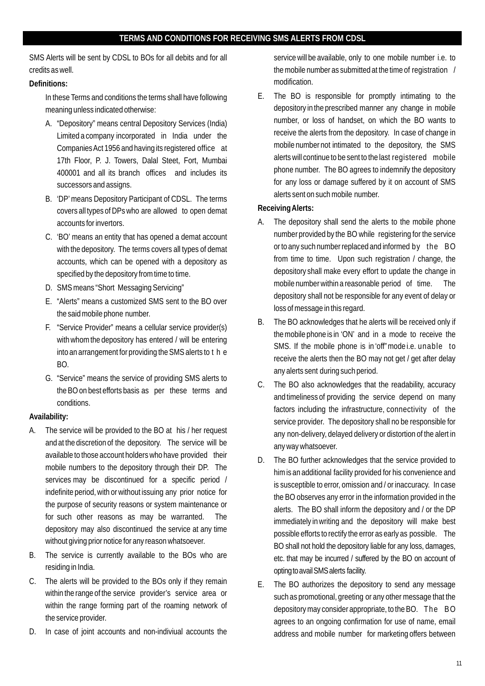SMS Alerts will be sent by CDSL to BOs for all debits and for all credits as well.

# **Definitions:**

In these Terms and conditions the terms shall have following meaning unless indicated otherwise:

- A. "Depository" means central Depository Services (India) Limited a company incorporated in India under the Companies Act 1956 and having its registered office at 17th Floor, P. J. Towers, Dalal Steet, Fort, Mumbai 400001 and all its branch offices and includes its successors and assigns.
- B. 'DP'means Depository Participant of CDSL. The terms covers all types of DPs who are allowed to open demat accounts for invertors.
- C. 'BO' means an entity that has opened a demat account with the depository. The terms covers all types of demat accounts, which can be opened with a depository as specified by the depository from time to time.
- D. SMS means "Short Messaging Servicing"
- E. "Alerts" means a customized SMS sent to the BO over the said mobile phone number.
- F. "Service Provider" means a cellular service provider(s) with whom the depository has entered / will be entering into an arrangement for providing the SMS alerts to t h e BO.
- G. "Service" means the service of providing SMS alerts to the BO on best efforts basis as per these terms and conditions.

# **Availability:**

- A. The service will be provided to the BO at his / her request and at the discretion of the depository. The service will be available to those account holders who have provided their mobile numbers to the depository through their DP. The services may be discontinued for a specific period / indefinite period, with or without issuing any prior notice for the purpose of security reasons or system maintenance or for such other reasons as may be warranted. The depository may also discontinued the service at any time without giving prior notice for any reason whatsoever.
- B. The service is currently available to the BOs who are residing in India.
- C. The alerts will be provided to the BOs only if they remain within the range of the service provider's service area or within the range forming part of the roaming network of the service provider.
- D. In case of joint accounts and non-indiviual accounts the

service will be available, only to one mobile number i.e. to the mobile number as submitted at the time of registration / modification.

E. The BO is responsible for promptly intimating to the depository in the prescribed manner any change in mobile number, or loss of handset, on which the BO wants to receive the alerts from the depository. In case of change in mobile number not intimated to the depository, the SMS alerts will continue to be sent to the last registered mobile phone number. The BO agrees to indemnify the depository for any loss or damage suffered by it on account of SMS alerts sent on such mobile number.

**Receiving Alerts:**

- A. The depository shall send the alerts to the mobile phone number provided by the BO while registering for the service or to any such number replaced and informed by the BO from time to time. Upon such registration / change, the depository shall make every effort to update the change in mobile number within a reasonable period of time. The depository shall not be responsible for any event of delay or loss of message in this regard.
- B. The BO acknowledges that he alerts will be received only if the mobile phone is in 'ON' and in a mode to receive the SMS. If the mobile phone is in 'off" mode i.e. unable to receive the alerts then the BO may not get / get after delay any alerts sent during such period.
- C. The BO also acknowledges that the readability, accuracy and timeliness of providing the service depend on many factors including the infrastructure, connectivity of the service provider. The depository shall no be responsible for any non-delivery, delayed delivery or distortion of the alert in any way whatsoever.
- D. The BO further acknowledges that the service provided to him is an additional facility provided for his convenience and is susceptible to error, omission and / or inaccuracy. In case the BO observes any error in the information provided in the alerts. The BO shall inform the depository and / or the DP immediately in writing and the depository will make best possible efforts to rectify the error as early as possible. The BO shall not hold the depository liable for any loss, damages, etc. that may be incurred / suffered by the BO on account of opting to avail SMS alerts facility.
- E. The BO authorizes the depository to send any message such as promotional, greeting or any other message that the depository may consider appropriate, to the BO. The BO agrees to an ongoing confirmation for use of name, email address and mobile number for marketing offers between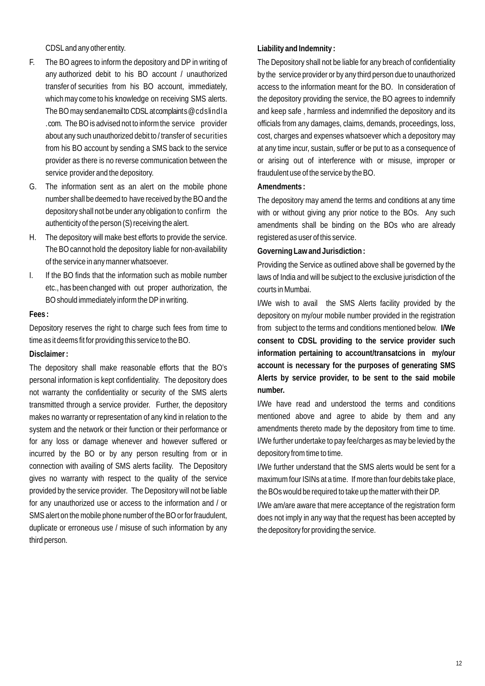CDSLand any other entity.

- F. The BO agrees to inform the depository and DP in writing of any authorized debit to his BO account / unauthorized transfer of securities from his BO account, immediately, which may come to his knowledge on receiving SMS alerts. The BO may sendanemailto CDSL at complaints@cdslindla .com. The BO is advised not to inform the service provider about any such unauthorized debit to / transfer of securities from his BO account by sending a SMS back to the service provider as there is no reverse communication between the service provider and the depository.
- G. The information sent as an alert on the mobile phone number shall be deemed to have received by the BO and the depository shall not be under any obligation to confirm the authenticity of the person (S) receiving the alert.
- H. The depository will make best efforts to provide the service. The BO cannot hold the depository liable for non-availability of the service in any manner whatsoever.
- I. If the BO finds that the information such as mobile number etc., has been changed with out proper authorization, the BO should immediately inform the DP in writing.

#### **Fees :**

Depository reserves the right to charge such fees from time to time as it deems fit for providing this service to the BO.

**Disclaimer :**

The depository shall make reasonable efforts that the BO's personal information is kept confidentiality. The depository does not warranty the confidentiality or security of the SMS alerts transmitted through a service provider. Further, the depository makes no warranty or representation of any kind in relation to the system and the network or their function or their performance or for any loss or damage whenever and however suffered or incurred by the BO or by any person resulting from or in connection with availing of SMS alerts facility. The Depository gives no warranty with respect to the quality of the service provided by the service provider. The Depository will not be liable for any unauthorized use or access to the information and / or SMS alert on the mobile phone number of the BO or for fraudulent, duplicate or erroneous use / misuse of such information by any third person.

**Liability and Indemnity :**

The Depository shall not be liable for any breach of confidentiality by the service provider or by any third person due to unauthorized access to the information meant for the BO. In consideration of the depository providing the service, the BO agrees to indemnify and keep safe , harmless and indemnified the depository and its officials from any damages, claims, demands, proceedings, loss, cost, charges and expenses whatsoever which a depository may at any time incur, sustain, suffer or be put to as a consequence of or arising out of interference with or misuse, improper or fraudulent use of the service by the BO.

## **Amendments :**

The depository may amend the terms and conditions at any time with or without giving any prior notice to the BOs. Any such amendments shall be binding on the BOs who are already registered as user of this service.

**Governing Law and Jurisdiction :**

Providing the Service as outlined above shall be governed by the laws of India and will be subject to the exclusive jurisdiction of the courts in Mumbai.

I/We wish to avail the SMS Alerts facility provided by the depository on my/our mobile number provided in the registration from subject to the terms and conditions mentioned below. **I/We consent to CDSL providing to the service provider such information pertaining to account/transatcions in my/our account is necessary for the purposes of generating SMS Alerts by service provider, to be sent to the said mobile number.**

I/We have read and understood the terms and conditions mentioned above and agree to abide by them and any amendments thereto made by the depository from time to time. I/We further undertake to pay fee/charges as may be levied by the depository from time to time.

I/We further understand that the SMS alerts would be sent for a maximum four ISINs at a time. If more than four debits take place, the BOs would be required to take up the matter with their DP.

I/We am/are aware that mere acceptance of the registration form does not imply in any way that the request has been accepted by the depository for providing the service.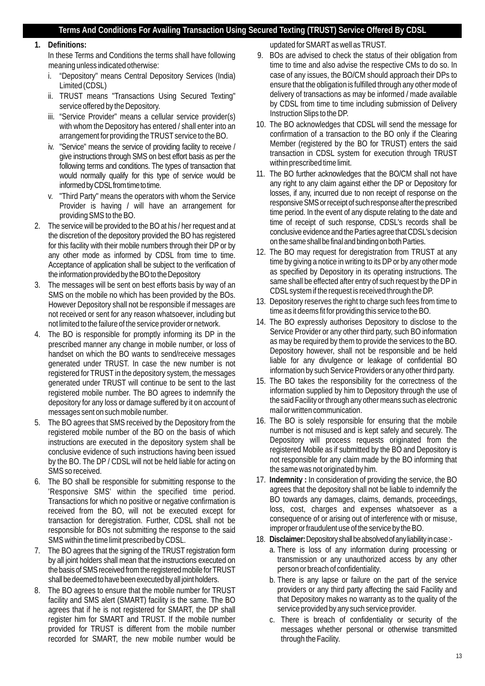## **Terms And Conditions For Availing Transaction Using Secured Texting (TRUST) Service Offered By CDSL**

**1. Definitions:** 

In these Terms and Conditions the terms shall have following meaning unless indicated otherwise:

- i. "Depository" means Central Depository Services (India) Limited (CDSL)
- ii. TRUST means "Transactions Using Secured Texting" service offered by the Depository.
- iii. "Service Provider" means a cellular service provider(s) with whom the Depository has entered / shall enter into an arrangement for providing the TRUST service to the BO.
- iv. "Service" means the service of providing facility to receive / give instructions through SMS on best effort basis as per the following terms and conditions. The types of transaction that would normally qualify for this type of service would be informed by CDSL from time to time.
- v. "Third Party" means the operators with whom the Service Provider is having / will have an arrangement for providing SMS to the BO.
- 2. The service will be provided to the BOat his / her request and at the discretion of the depository provided the BO has registered for this facility with their mobile numbers through their DP or by any other mode as informed by CDSL from time to time. Acceptance of application shall be subject to the verification of the information provided by the BO to the Depository
- 3. The messages will be sent on best efforts basis by way of an SMS on the mobile no which has been provided by the BOs. However Depository shall not be responsible if messages are not received or sent for any reason whatsoever, including but not limited to the failure of the service provider or network.
- 4. The BO is responsible for promptly informing its DP in the prescribed manner any change in mobile number, or loss of handset on which the BO wants to send/receive messages generated under TRUST. In case the new number is not registered for TRUST in the depository system, the messages generated under TRUST will continue to be sent to the last registered mobile number. The BO agrees to indemnify the depository for any loss or damage suffered by it on account of messages sent on such mobile number.
- 5. The BO agrees that SMS received by the Depository from the registered mobile number of the BO on the basis of which instructions are executed in the depository system shall be conclusive evidence of such instructions having been issued by the BO. The DP / CDSL will not be held liable for acting on SMS so received.
- 6. The BO shall be responsible for submitting response to the 'Responsive SMS' within the specified time period. Transactions for which no positive or negative confirmation is received from the BO, will not be executed except for transaction for deregistration. Further, CDSL shall not be responsible for BOs not submitting the response to the said SMS within the time limit prescribed by CDSL.
- 7. The BO agrees that the signing of the TRUST registration form by all joint holders shall mean that the instructions executed on the basis of SMS received from the registered mobile for TRUST shall be deemed to have been executed by all joint holders.
- 8. The BO agrees to ensure that the mobile number for TRUST facility and SMS alert (SMART) facility is the same. The BO agrees that if he is not registered for SMART, the DP shall register him for SMART and TRUST. If the mobile number provided for TRUST is different from the mobile number recorded for SMART, the new mobile number would be

updated for SMARTas well as TRUST.

- 9. BOs are advised to check the status of their obligation from time to time and also advise the respective CMs to do so. In case of any issues, the BO/CM should approach their DPs to ensure that the obligation is fulfilled through any other mode of delivery of transactions as may be informed / made available by CDSL from time to time including submission of Delivery Instruction Slips to the DP.
- 10. The BO acknowledges that CDSL will send the message for confirmation of a transaction to the BO only if the Clearing Member (registered by the BO for TRUST) enters the said transaction in CDSL system for execution through TRUST within prescribed time limit.
- 11. The BO further acknowledges that the BO/CM shall not have any right to any claim against either the DP or Depository for losses, if any, incurred due to non receipt of response on the responsive SMS or receipt of such response after the prescribed time period. In the event of any dispute relating to the date and time of receipt of such response, CDSL's records shall be conclusive evidence and the Parties agree that CDSL's decision on the same shall be final and binding on both Parties.
- 12. The BO may request for deregistration from TRUST at any time by giving a notice in writing to its DP or by any other mode as specified by Depository in its operating instructions. The same shall be effected after entry of such request by the DP in CDSLsystem if the request is received through the DP.
- 13. Depository reserves the right to charge such fees from time to time as it deems fit for providing this service to the BO.
- 14. The BO expressly authorises Depository to disclose to the Service Provider or any other third party, such BO information as may be required by them to provide the services to the BO. Depository however, shall not be responsible and be held liable for any divulgence or leakage of confidential BO information by such Service Providers or any other third party.
- 15. The BO takes the responsibility for the correctness of the information supplied by him to Depository through the use of the said Facility or through any other means such as electronic mail or written communication.
- 16. The BO is solely responsible for ensuring that the mobile number is not misused and is kept safely and securely. The Depository will process requests originated from the registered Mobile as if submitted by the BO and Depository is not responsible for any claim made by the BO informing that the same was not originated by him.
- 17. **Indemnity :** In consideration of providing the service, the BO agrees that the depository shall not be liable to indemnify the BO towards any damages, claims, demands, proceedings, loss, cost, charges and expenses whatsoever as a consequence of or arising out of interference with or misuse, improper or fraudulent use of the service by the BO.
- 18. **Disclaimer:**Depositoryshallbeabsolvedofanyliabilityincase:
	- a. There is loss of any information during processing or transmission or any unauthorized access by any other person or breach of confidentiality.
	- b. There is any lapse or failure on the part of the service providers or any third party affecting the said Facility and that Depository makes no warranty as to the quality of the service provided by any such service provider.
	- c. There is breach of confidentiality or security of the messages whether personal or otherwise transmitted through the Facility.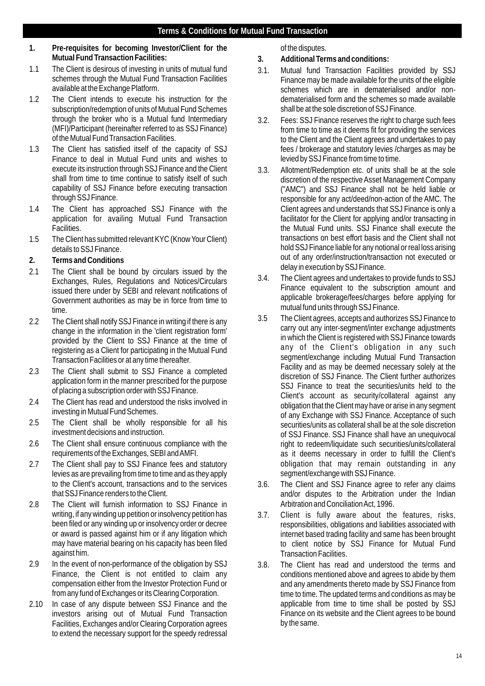- **1. Pre-requisites for becoming Investor/Client for the Mutual Fund Transaction Facilities:**
- 1.1 The Client is desirous of investing in units of mutual fund schemes through the Mutual Fund Transaction Facilities available at the Exchange Platform.
- 1.2 The Client intends to execute his instruction for the subscription/redemption of units of Mutual Fund Schemes through the broker who is a Mutual fund Intermediary (MFI)/Participant (hereinafter referred to as SSJ Finance) of the Mutual Fund Transaction Facilities.
- 1.3 The Client has satisfied itself of the capacity of SSJ Finance to deal in Mutual Fund units and wishes to execute its instruction through SSJ Finance and the Client shall from time to time continue to satisfy itself of such capability of SSJ Finance before executing transaction through SSJ Finance.
- 1.4 The Client has approached SSJ Finance with the application for availing Mutual Fund Transaction Facilities.
- 1.5 The Client has submitted relevant KYC (Know Your Client) details to SSJ Finance.
- **2. Terms and Conditions**
- 2.1 The Client shall be bound by circulars issued by the Exchanges, Rules, Regulations and Notices/Circulars issued there under by SEBI and relevant notifications of Government authorities as may be in force from time to time.
- 2.2 The Client shall notify SSJ Finance in writing if there is any change in the information in the 'client registration form' provided by the Client to SSJ Finance at the time of registering as a Client for participating in the Mutual Fund Transaction Facilities or at any time thereafter.
- 2.3 The Client shall submit to SSJ Finance a completed application form in the manner prescribed for the purpose of placing a subscription order with SSJ Finance.
- 2.4 The Client has read and understood the risks involved in investing in Mutual Fund Schemes.
- 2.5 The Client shall be wholly responsible for all his investment decisions and instruction.
- 2.6 The Client shall ensure continuous compliance with the requirements of the Exchanges, SEBI and AMFI.
- 2.7 The Client shall pay to SSJ Finance fees and statutory levies as are prevailing from time to time and as they apply to the Client's account, transactions and to the services that SSJ Finance renders to the Client.
- 2.8 The Client will furnish information to SSJ Finance in writing, if any winding up petition or insolvency petition has been filed or any winding up or insolvency order or decree or award is passed against him or if any litigation which may have material bearing on his capacity has been filed against him.
- 2.9 In the event of non-performance of the obligation by SSJ Finance, the Client is not entitled to claim any compensation either from the Investor Protection Fund or from any fund of Exchanges or its Clearing Corporation.
- 2.10 In case of any dispute between SSJ Finance and the investors arising out of Mutual Fund Transaction Facilities, Exchanges and/or Clearing Corporation agrees to extend the necessary support for the speedy redressal

of the disputes.

**3. Additional Terms and conditions:**

- 3.1. Mutual fund Transaction Facilities provided by SSJ Finance may be made available for the units of the eligible schemes which are in dematerialised and/or nondematerialised form and the schemes so made available shall be at the sole discretion of SSJ Finance.
- 3.2. Fees: SSJ Finance reserves the right to charge such fees from time to time as it deems fit for providing the services to the Client and the Client agrees and undertakes to pay fees / brokerage and statutory levies /charges as may be levied by SSJ Finance from time to time.
- 3.3. Allotment/Redemption etc. of units shall be at the sole discretion of the respective Asset Management Company ("AMC") and SSJ Finance shall not be held liable or responsible for any act/deed/non-action of the AMC. The Client agrees and understands that SSJ Finance is only a facilitator for the Client for applying and/or transacting in the Mutual Fund units. SSJ Finance shall execute the transactions on best effort basis and the Client shall not hold SSJ Finance liable for any notional or real loss arising out of any order/instruction/transaction not executed or delay in execution by SSJ Finance.
- 3.4. The Client agrees and undertakes to provide funds to SSJ Finance equivalent to the subscription amount and applicable brokerage/fees/charges before applying for mutual fund units through SSJ Finance.
- 3.5 The Client agrees, accepts and authorizes SSJ Finance to carry out any inter-segment/inter exchange adjustments in which the Client is registered with SSJ Finance towards any of the Client's obligation in any such segment/exchange including Mutual Fund Transaction Facility and as may be deemed necessary solely at the discretion of SSJ Finance. The Client further authorizes SSJ Finance to treat the securities/units held to the Client's account as security/collateral against any obligation that the Client may have or arise in any segment of any Exchange with SSJ Finance. Acceptance of such securities/units as collateral shall be at the sole discretion of SSJ Finance. SSJ Finance shall have an unequivocal right to redeem/liquidate such securities/units/collateral as it deems necessary in order to fulfill the Client's obligation that may remain outstanding in any segment/exchange with SSJ Finance.
- 3.6. The Client and SSJ Finance agree to refer any claims and/or disputes to the Arbitration under the Indian Arbitration and Conciliation Act, 1996.
- 3.7. Client is fully aware about the features, risks, responsibilities, obligations and liabilities associated with internet based trading facility and same has been brought to client notice by SSJ Finance for Mutual Fund Transaction Facilities.
- 3.8. The Client has read and understood the terms and conditions mentioned above and agrees to abide by them and any amendments thereto made by SSJ Finance from time to time. The updated terms and conditions as may be applicable from time to time shall be posted by SSJ Finance on its website and the Client agrees to be bound by the same.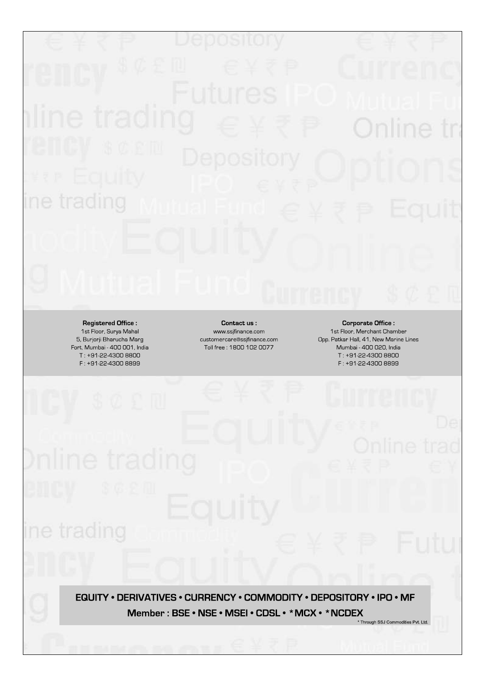

Registered Office: 1st Floor, Surya Mahal 5, Burjorji Bharucha Marg Fort, Mumbai - 400 001, India T: +91-22-4300 8800 F: +91-22-4300 8899

ine trading

Contact us: www.ssjfinance.com customercare@ssjfinance.com Toll free: 1800 102 0077

**Corporate Office:** 1st Floor, Merchant Chamber Opp. Patkar Hall, 41, New Marine Lines Mumbai - 400 020, India T: +91-22-4300 8800 F: +91-22-4300 8899

EQUITY . DERIVATIVES . CURRENCY . COMMODITY . DEPOSITORY . IPO . MF Member: BSE • NSE • MSEI • CDSL • \* MCX • \* NCDEX \* Through SSJ Commodities Pvt. Ltd.